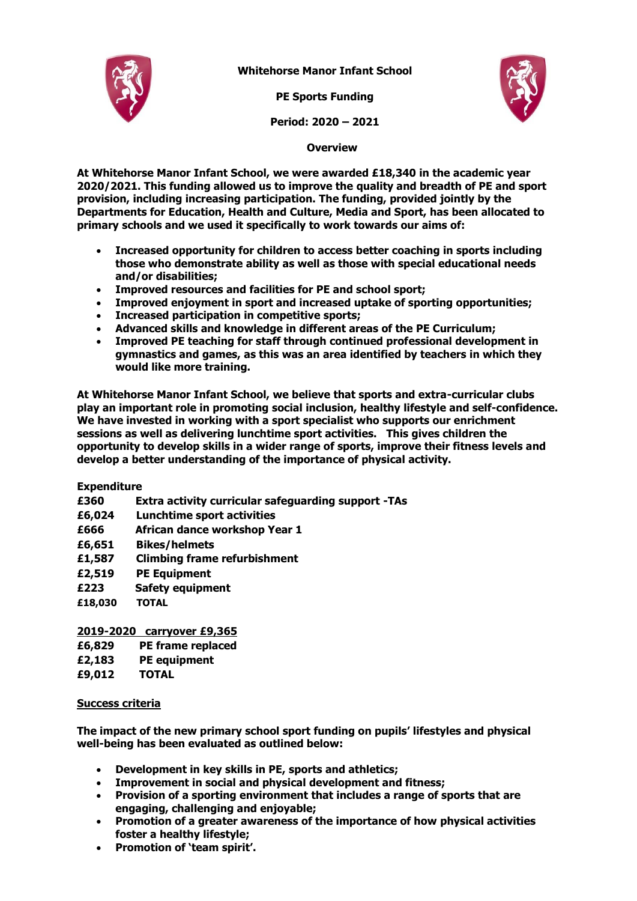

**Whitehorse Manor Infant School**

**PE Sports Funding**



**Period: 2020 – 2021**

 **Overview**

**At Whitehorse Manor Infant School, we were awarded £18,340 in the academic year 2020/2021. This funding allowed us to improve the quality and breadth of PE and sport provision, including increasing participation. The funding, provided jointly by the Departments for Education, Health and Culture, Media and Sport, has been allocated to primary schools and we used it specifically to work towards our aims of:** 

- **Increased opportunity for children to access better coaching in sports including those who demonstrate ability as well as those with special educational needs and/or disabilities;**
- **Improved resources and facilities for PE and school sport;**
- **Improved enjoyment in sport and increased uptake of sporting opportunities;**
- **Increased participation in competitive sports;**
- **Advanced skills and knowledge in different areas of the PE Curriculum;**
- **Improved PE teaching for staff through continued professional development in gymnastics and games, as this was an area identified by teachers in which they would like more training.**

**At Whitehorse Manor Infant School, we believe that sports and extra-curricular clubs play an important role in promoting social inclusion, healthy lifestyle and self-confidence. We have invested in working with a sport specialist who supports our enrichment sessions as well as delivering lunchtime sport activities. This gives children the opportunity to develop skills in a wider range of sports, improve their fitness levels and develop a better understanding of the importance of physical activity.** 

**Expenditure** 

- **£360 Extra activity curricular safeguarding support -TAs**
- **£6,024 Lunchtime sport activities**
- **£666 African dance workshop Year 1**
- **£6,651 Bikes/helmets**
- **£1,587 Climbing frame refurbishment**
- **£2,519 PE Equipment**
- **£223 Safety equipment**
- **£18,030 TOTAL**

**2019-2020 carryover £9,365**

- **£6,829 PE frame replaced**
- **£2,183 PE equipment**
- **£9,012 TOTAL**

## **Success criteria**

**The impact of the new primary school sport funding on pupils' lifestyles and physical well-being has been evaluated as outlined below:**

- **Development in key skills in PE, sports and athletics;**
- **Improvement in social and physical development and fitness;**
- **Provision of a sporting environment that includes a range of sports that are engaging, challenging and enjoyable;**
- **Promotion of a greater awareness of the importance of how physical activities foster a healthy lifestyle;**
- **Promotion of 'team spirit'.**